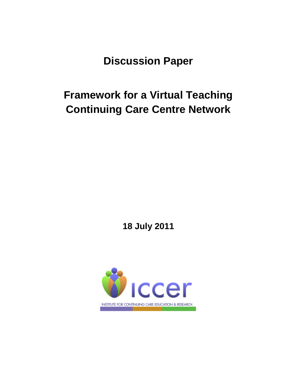**Discussion Paper**

# **Framework for a Virtual Teaching Continuing Care Centre Network**

**18 July 2011**

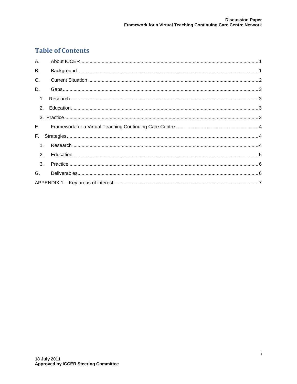### **Table of Contents**

| A.             |  |
|----------------|--|
| <b>B.</b>      |  |
| C.             |  |
| D.             |  |
| 1 <sub>1</sub> |  |
|                |  |
|                |  |
|                |  |
| E.,            |  |
| F.             |  |
| 1 <sub>1</sub> |  |
| 2.             |  |
| 3.             |  |
| G.             |  |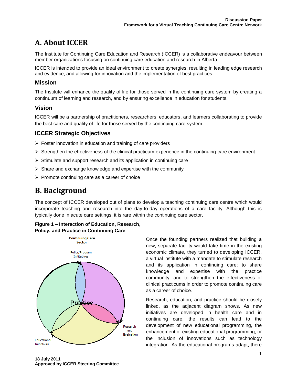# <span id="page-2-0"></span>**A. About ICCER**

The Institute for Continuing Care Education and Research (ICCER) is a collaborative endeavour between member organizations focusing on continuing care education and research in Alberta.

ICCER is intended to provide an ideal environment to create synergies, resulting in leading edge research and evidence, and allowing for innovation and the implementation of best practices.

#### **Mission**

The Institute will enhance the quality of life for those served in the continuing care system by creating a continuum of learning and research, and by ensuring excellence in education for students.

#### **Vision**

ICCER will be a partnership of practitioners, researchers, educators, and learners collaborating to provide the best care and quality of life for those served by the continuing care system.

#### **ICCER Strategic Objectives**

- $\triangleright$  Foster innovation in education and training of care providers
- $\triangleright$  Strengthen the effectiveness of the clinical practicum experience in the continuing care environment
- $\triangleright$  Stimulate and support research and its application in continuing care
- $\triangleright$  Share and exchange knowledge and expertise with the community
- <span id="page-2-1"></span> $\triangleright$  Promote continuing care as a career of choice

### **B. Background**

The concept of ICCER developed out of plans to develop a teaching continuing care centre which would incorporate teaching and research into the day-to-day operations of a care facility. Although this is typically done in acute care settings, it is rare within the continuing care sector.

#### **Figure 1 – Interaction of Education, Research, Policy, and Practice in Continuing Care**



Once the founding partners realized that building a new, separate facility would take time in the existing economic climate, they turned to developing ICCER, a virtual institute with a mandate to stimulate research and its application in continuing care; to share knowledge and expertise with the practice community; and to strengthen the effectiveness of clinical practicums in order to promote continuing care as a career of choice.

Research, education, and practice should be closely linked, as the adjacent diagram shows. As new initiatives are developed in health care and in continuing care, the results can lead to the development of new educational programming, the enhancement of existing educational programming, or the inclusion of innovations such as technology integration. As the educational programs adapt, there

**18 July 2011 Approved by ICCER Steering Committee**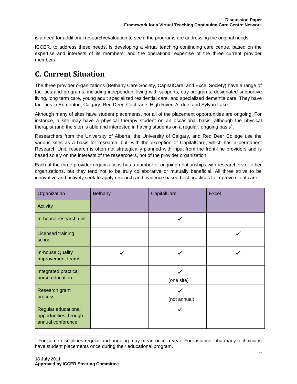is a need for additional research/evaluation to see if the programs are addressing the original needs.

ICCER, to address these needs, is developing a virtual teaching continuing care centre, based on the expertise and interests of its members, and the operational expertise of the three current provider members.

### <span id="page-3-0"></span>**C. Current Situation**

The three provider organizations (Bethany Care Society, CapitalCare, and Excel Society) have a range of facilities and programs, including independent living with supports, day programs, designated supportive living, long term care, young adult specialized residential care, and specialized dementia care. They have facilities in Edmonton, Calgary, Red Deer, Cochrane, High River, Airdrie, and Sylvan Lake.

Although many of sites have student placements, not all of the placement opportunities are ongoing. For instance, a site may have a physical therapy student on an occasional basis, although the physical therapist (and the site) is able and interested in having students on a regular, ongoing basis<sup>1</sup>.

Researchers from the University of Alberta, the University of Calgary, and Red Deer College use the various sites as a basis for research, but, with the exception of CapitalCare, which has a permanent Research Unit, research is often not strategically planned with input from the front-line providers and is based solely on the interests of the researchers, not of the provider organization.

Each of the three provider organizations has a number of ongoing relationships with researchers or other organizations, but they tend not to be truly collaborative or mutually beneficial. All three strive to be innovative and actively seek to apply research and evidence based best practices to improve client care.

| Organization                                                      | Bethany | CapitalCare  | <b>Excel</b> |
|-------------------------------------------------------------------|---------|--------------|--------------|
| Activity                                                          |         |              |              |
| In-house research unit                                            |         |              |              |
| Licensed training<br>school                                       |         |              |              |
| <b>In-house Quality</b><br>Improvement teams                      |         |              |              |
| Integrated practical<br>nurse education                           |         | (one site)   |              |
| Research grant<br>process                                         |         | (not annual) |              |
| Regular educational<br>opportunities through<br>annual conference |         |              |              |

 $1$  For some disciplines regular and ongoing may mean once a year. For instance, pharmacy technicians have student placements once during their educational program.

j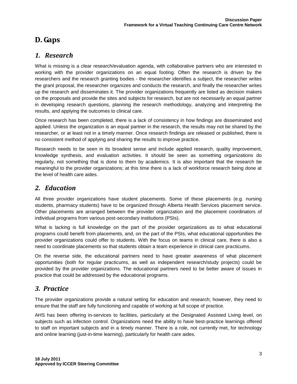### <span id="page-4-0"></span>**D. Gaps**

### <span id="page-4-1"></span>*1. Research*

What is missing is a clear research/evaluation agenda, with collaborative partners who are interested in working with the provider organizations on an equal footing. Often the research is driven by the researchers and the research granting bodies - the researcher identifies a subject, the researcher writes the grant proposal, the researcher organizes and conducts the research, and finally the researcher writes up the research and disseminates it. The provider organizations frequently are listed as decision makers on the proposals and provide the sites and subjects for research, but are not necessarily an equal partner in developing research questions, planning the research methodology, analyzing and interpreting the results, and applying the outcomes to clinical care.

Once research has been completed, there is a lack of consistency in how findings are disseminated and applied. Unless the organization is an equal partner in the research, the results may not be shared by the researcher, or at least not in a timely manner. Once research findings are released or published, there is no consistent method of applying and sharing the results to improve practice.

Research needs to be seen in its broadest sense and include applied research, quality improvement, knowledge synthesis, and evaluation activities. It should be seen as something organizations do regularly, not something that is done to them by academics. It is also important that the research be meaningful to the provider organizations; at this time there is a lack of workforce research being done at the level of health care aides.

#### <span id="page-4-2"></span>*2. Education*

All three provider organizations have student placements. Some of these placements (e.g. nursing students, pharmacy students) have to be organized through Alberta Health Services placement service. Other placements are arranged between the provider organization and the placement coordinators of individual programs from various post-secondary institutions (PSIs).

What is lacking is full knowledge on the part of the provider organizations as to what educational programs could benefit from placements, and, on the part of the PSIs, what educational opportunities the provider organizations could offer to students. With the focus on teams in clinical care, there is also a need to coordinate placements so that students obtain a team experience in clinical care practicums.

On the reverse side, the educational partners need to have greater awareness of what placement opportunities (both for regular practicums, as well as independent research/study projects) could be provided by the provider organizations. The educational partners need to be better aware of issues in practice that could be addressed by the educational programs.

#### <span id="page-4-3"></span>*3. Practice*

The provider organizations provide a natural setting for education and research; however, they need to ensure that the staff are fully functioning and capable of working at full scope of practice.

AHS has been offering in-services to facilities, particularly at the Designated Assisted Living level, on subjects such as infection control. Organizations need the ability to have best-practice learnings offered to staff on important subjects and in a timely manner. There is a role, not currently met, for technology and online learning (just-in-time learning), particularly for health care aides.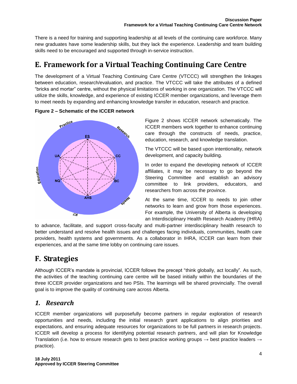There is a need for training and supporting leadership at all levels of the continuing care workforce. Many new graduates have some leadership skills, but they lack the experience. Leadership and team building skills need to be encouraged and supported through in-service instruction.

# <span id="page-5-0"></span>**E. Framework for a Virtual Teaching Continuing Care Centre**

The development of a Virtual Teaching Continuing Care Centre (VTCCC) will strengthen the linkages between education, research/evaluation, and practice. The VTCCC will take the attributes of a defined "bricks and mortar" centre, without the physical limitations of working in one organization. The VTCCC will utilize the skills, knowledge, and experience of existing ICCER member organizations, and leverage them to meet needs by expanding and enhancing knowledge transfer in education, research and practice.





Figure 2 shows ICCER network schematically. The ICCER members work together to enhance continuing care through the constructs of needs, practice, education, research, and knowledge translation.

The VTCCC will be based upon intentionality, network development, and capacity building.

In order to expand the developing network of ICCER affiliates, it may be necessary to go beyond the Steering Committee and establish an advisory committee to link providers, educators, and researchers from across the province.

At the same time, ICCER to needs to join other networks to learn and grow from those experiences. For example, the University of Alberta is developing an Interdisciplinary Health Research Academy (IHRA)

to advance, facilitate, and support cross-faculty and multi-partner interdisciplinary health research to better understand and resolve health issues and challenges facing individuals, communities, health care providers, health systems and governments. As a collaborator in IHRA, ICCER can learn from their experiences, and at the same time lobby on continuing care issues.

# <span id="page-5-1"></span>**F. Strategies**

Although ICCER's mandate is provincial, ICCER follows the precept "think globally, act locally". As such, the activities of the teaching continuing care centre will be based initially within the boundaries of the three ICCER provider organizations and two PSIs. The learnings will be shared provincially. The overall goal is to improve the quality of continuing care across Alberta.

### <span id="page-5-2"></span>*1. Research*

ICCER member organizations will purposefully become partners in regular exploration of research opportunities and needs, including the initial research grant applications to align priorities and expectations, and ensuring adequate resources for organizations to be full partners in research projects. ICCER will develop a process for identifying potential research partners, and will plan for Knowledge Translation (i.e. how to ensure research gets to best practice working groups  $\rightarrow$  best practice leaders  $\rightarrow$ practice).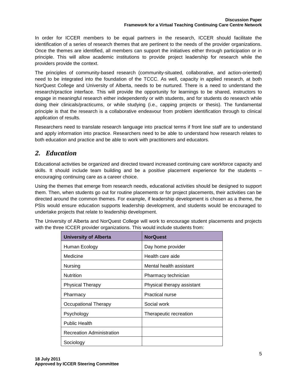In order for ICCER members to be equal partners in the research, ICCER should facilitate the identification of a series of research themes that are pertinent to the needs of the provider organizations. Once the themes are identified, all members can support the initiatives either through participation or in principle. This will allow academic institutions to provide project leadership for research while the providers provide the context.

The principles of community-based research (community-situated, collaborative, and action-oriented) need to be integrated into the foundation of the TCCC. As well, capacity in applied research, at both NorQuest College and University of Alberta, needs to be nurtured. There is a need to understand the research/practice interface. This will provide the opportunity for learnings to be shared, instructors to engage in meaningful research either independently or with students, and for students do research while doing their clinicals/practicums, or while studying (i.e., capping projects or thesis). The fundamental principle is that the research is a collaborative endeavour from problem identification through to clinical application of results.

Researchers need to translate research language into practical terms if front line staff are to understand and apply information into practice. Researchers need to be able to understand how research relates to both education and practice and be able to work with practitioners and educators.

### <span id="page-6-0"></span>*2. Education*

Educational activities be organized and directed toward increased continuing care workforce capacity and skills. It should include team building and be a positive placement experience for the students – encouraging continuing care as a career choice.

Using the themes that emerge from research needs, educational activities should be designed to support them. Then, when students go out for routine placements or for project placements, their activities can be directed around the common themes. For example, if leadership development is chosen as a theme, the PSIs would ensure education supports leadership development, and students would be encouraged to undertake projects that relate to leadership development.

The University of Alberta and NorQuest College will work to encourage student placements and projects with the three ICCER provider organizations. This would include students from:

| <b>University of Alberta</b>     | <b>NorQuest</b>            |
|----------------------------------|----------------------------|
| Human Ecology                    | Day home provider          |
| Medicine                         | Health care aide           |
| Nursing                          | Mental health assistant    |
| <b>Nutrition</b>                 | Pharmacy technician        |
| <b>Physical Therapy</b>          | Physical therapy assistant |
| Pharmacy                         | <b>Practical nurse</b>     |
| Occupational Therapy             | Social work                |
| Psychology                       | Therapeutic recreation     |
| <b>Public Health</b>             |                            |
| <b>Recreation Administration</b> |                            |
| Sociology                        |                            |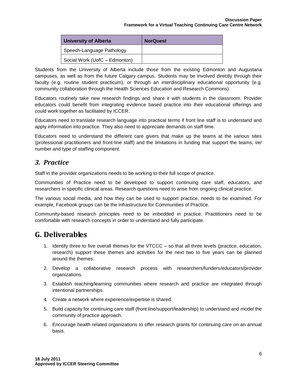| <b>University of Alberta</b>  | <b>NorQuest</b> |
|-------------------------------|-----------------|
| Speech-Language Pathology     |                 |
| Social Work (UofC - Edmonton) |                 |

Students from the University of Alberta include those from the existing Edmonton and Augustana campuses, as well as from the future Calgary campus. Students may be involved directly through their faculty (e.g. routine student practicum), or through an interdisciplinary educational opportunity (e.g. community collaboration through the Health Sciences Education and Research Commons).

Educators routinely take new research findings and share it with students in the classroom. Provider educators could benefit from integrating evidence based practice into their educational offerings and could work together as facilitated by ICCER.

Educators need to translate research language into practical terms if front line staff is to understand and apply information into practice. They also need to appreciate demands on staff time.

Educators need to understand the different care givers that make up the teams at the various sites (professional practitioners and front-line staff) and the limitations in funding that support the teams, i/e/ number and type of staffing component.

#### <span id="page-7-0"></span>*3. Practice*

Staff in the provider organizations needs to be working to their full scope of practice.

Communities of Practice need to be developed to support continuing care staff, educators, and researchers in specific clinical areas. Research questions need to arise from ongoing clinical practice.

The various social media, and how they can be used to support practice, needs to be examined. For example, Facebook groups can be the infrastructure for Communities of Practice.

Community-based research principles need to be imbedded in practice. Practitioners need to be comfortable with research concepts in order to understand and fully participate.

### <span id="page-7-1"></span>**G. Deliverables**

- 1. Identify three to five overall themes for the VTCCC so that all three levels (practice, education, research) support these themes and activities for the next two to five years can be planned around the themes.
- 2. Develop a collaborative research process with researchers/funders/educators/provider organizations.
- 3. Establish teaching/learning communities where research and practice are integrated through intentional partnerships.
- 4. Create a network where experience/expertise is shared.
- 5. Build capacity for continuing care staff (front line/support/leadership) to understand and model the community of practice approach.
- 6. Encourage health related organizations to offer research grants for continuing care on an annual basis.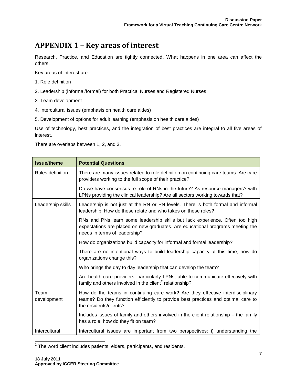# <span id="page-8-0"></span>**APPENDIX 1 – Key areas of interest**

Research, Practice, and Education are tightly connected. What happens in one area can affect the others.

Key areas of interest are:

- 1. Role definition
- 2. Leadership (informal/formal) for both Practical Nurses and Registered Nurses
- 3. Team development
- 4. Intercultural issues (emphasis on health care aides)
- 5. Development of options for adult learning (emphasis on health care aides)

Use of technology, best practices, and the integration of best practices are integral to all five areas of interest.

There are overlaps between 1, 2, and 3.

| <b>Issue/theme</b>  | <b>Potential Questions</b>                                                                                                                                                                      |
|---------------------|-------------------------------------------------------------------------------------------------------------------------------------------------------------------------------------------------|
| Roles definition    | There are many issues related to role definition on continuing care teams. Are care<br>providers working to the full scope of their practice?                                                   |
|                     | Do we have consensus re role of RNs in the future? As resource managers? with<br>LPNs providing the clinical leadership? Are all sectors working towards that?                                  |
| Leadership skills   | Leadership is not just at the RN or PN levels. There is both formal and informal<br>leadership. How do these relate and who takes on these roles?                                               |
|                     | RNs and PNs learn some leadership skills but lack experience. Often too high<br>expectations are placed on new graduates. Are educational programs meeting the<br>needs in terms of leadership? |
|                     | How do organizations build capacity for informal and formal leadership?                                                                                                                         |
|                     | There are no intentional ways to build leadership capacity at this time, how do<br>organizations change this?                                                                                   |
|                     | Who brings the day to day leadership that can develop the team?                                                                                                                                 |
|                     | Are health care providers, particularly LPNs, able to communicate effectively with<br>family and others involved in the client <sup>2</sup> relationship?                                       |
| Team<br>development | How do the teams in continuing care work? Are they effective interdisciplinary<br>teams? Do they function efficiently to provide best practices and optimal care to<br>the residents/clients?   |
|                     | Includes issues of family and others involved in the client relationship – the family<br>has a role, how do they fit on team?                                                                   |
| Intercultural       | Intercultural issues are important from two perspectives: i) understanding the                                                                                                                  |

<sup>&</sup>lt;u>2</u><br><sup>2</sup> The word client includes patients, elders, participants, and residents.